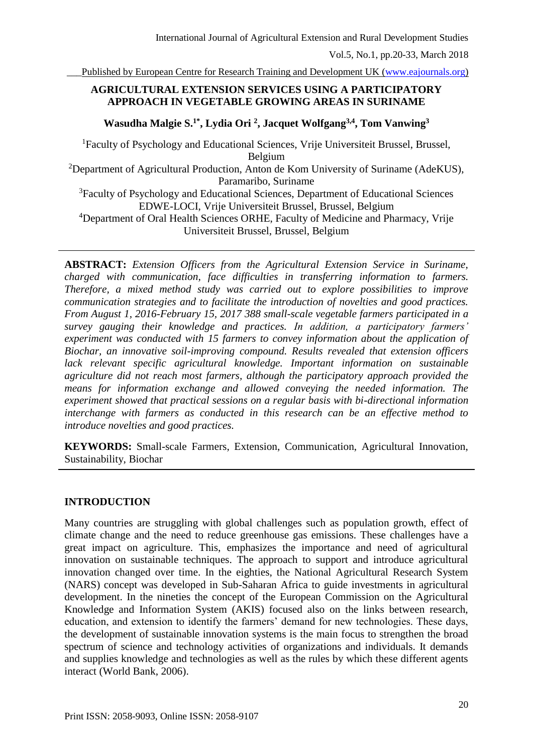Published by European Centre for Research Training and Development UK [\(www.eajournals.org\)](http://www.eajournals.org/)

## **AGRICULTURAL EXTENSION SERVICES USING A PARTICIPATORY APPROACH IN VEGETABLE GROWING AREAS IN SURINAME**

**Wasudha Malgie S.1\*, Lydia Ori <sup>2</sup> , Jacquet Wolfgang3,4, Tom Vanwing<sup>3</sup>**

<sup>1</sup>Faculty of Psychology and Educational Sciences, Vrije Universiteit Brussel, Brussel, Belgium

<sup>2</sup>Department of Agricultural Production, Anton de Kom University of Suriname (AdeKUS), Paramaribo, Suriname

<sup>3</sup>Faculty of Psychology and Educational Sciences, Department of Educational Sciences EDWE-LOCI, Vrije Universiteit Brussel, Brussel, Belgium

<sup>4</sup>Department of Oral Health Sciences ORHE, Faculty of Medicine and Pharmacy, Vrije Universiteit Brussel, Brussel, Belgium

**ABSTRACT:** *Extension Officers from the Agricultural Extension Service in Suriname, charged with communication, face difficulties in transferring information to farmers. Therefore, a mixed method study was carried out to explore possibilities to improve communication strategies and to facilitate the introduction of novelties and good practices. From August 1, 2016-February 15, 2017 388 small-scale vegetable farmers participated in a survey gauging their knowledge and practices. In addition, a participatory farmers' experiment was conducted with 15 farmers to convey information about the application of Biochar, an innovative soil-improving compound. Results revealed that extension officers lack relevant specific agricultural knowledge. Important information on sustainable agriculture did not reach most farmers, although the participatory approach provided the means for information exchange and allowed conveying the needed information. The experiment showed that practical sessions on a regular basis with bi-directional information interchange with farmers as conducted in this research can be an effective method to introduce novelties and good practices.* 

**KEYWORDS:** Small-scale Farmers, Extension, Communication, Agricultural Innovation, Sustainability, Biochar

## **INTRODUCTION**

Many countries are struggling with global challenges such as population growth, effect of climate change and the need to reduce greenhouse gas emissions. These challenges have a great impact on agriculture. This, emphasizes the importance and need of agricultural innovation on sustainable techniques. The approach to support and introduce agricultural innovation changed over time. In the eighties, the National Agricultural Research System (NARS) concept was developed in Sub-Saharan Africa to guide investments in agricultural development. In the nineties the concept of the European Commission on the Agricultural Knowledge and Information System (AKIS) focused also on the links between research, education, and extension to identify the farmers' demand for new technologies. These days, the development of sustainable innovation systems is the main focus to strengthen the broad spectrum of science and technology activities of organizations and individuals. It demands and supplies knowledge and technologies as well as the rules by which these different agents interact (World Bank, 2006).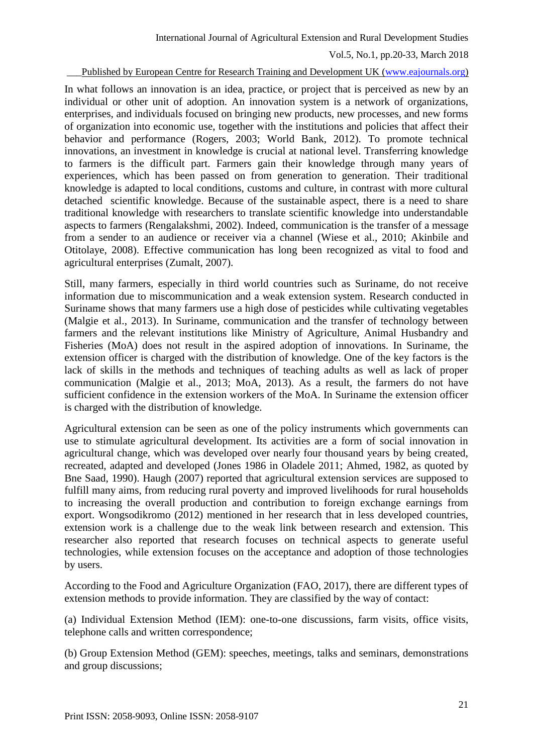#### Published by European Centre for Research Training and Development UK [\(www.eajournals.org\)](http://www.eajournals.org/)

In what follows an innovation is an idea, practice, or project that is perceived as new by an individual or other unit of adoption. An innovation system is a network of organizations, enterprises, and individuals focused on bringing new products, new processes, and new forms of organization into economic use, together with the institutions and policies that affect their behavior and performance (Rogers, 2003; World Bank, 2012). To promote technical innovations, an investment in knowledge is crucial at national level. Transferring knowledge to farmers is the difficult part. Farmers gain their knowledge through many years of experiences, which has been passed on from generation to generation. Their traditional knowledge is adapted to local conditions, customs and culture, in contrast with more cultural detached scientific knowledge. Because of the sustainable aspect, there is a need to share traditional knowledge with researchers to translate scientific knowledge into understandable aspects to farmers (Rengalakshmi, 2002). Indeed, communication is the transfer of a message from a sender to an audience or receiver via a channel (Wiese et al., 2010; Akinbile and Otitolaye, 2008). Effective communication has long been recognized as vital to food and agricultural enterprises (Zumalt, 2007).

Still, many farmers, especially in third world countries such as Suriname, do not receive information due to miscommunication and a weak extension system. Research conducted in Suriname shows that many farmers use a high dose of pesticides while cultivating vegetables (Malgie et al., 2013). In Suriname, communication and the transfer of technology between farmers and the relevant institutions like Ministry of Agriculture, Animal Husbandry and Fisheries (MoA) does not result in the aspired adoption of innovations. In Suriname, the extension officer is charged with the distribution of knowledge. One of the key factors is the lack of skills in the methods and techniques of teaching adults as well as lack of proper communication (Malgie et al., 2013; MoA, 2013). As a result, the farmers do not have sufficient confidence in the extension workers of the MoA. In Suriname the extension officer is charged with the distribution of knowledge.

Agricultural extension can be seen as one of the policy instruments which governments can use to stimulate agricultural development. Its activities are a form of social innovation in agricultural change, which was developed over nearly four thousand years by being created, recreated, adapted and developed (Jones 1986 in Oladele 2011; Ahmed, 1982, as quoted by Bne Saad, 1990). Haugh (2007) reported that agricultural extension services are supposed to fulfill many aims, from reducing rural poverty and improved livelihoods for rural households to increasing the overall production and contribution to foreign exchange earnings from export. Wongsodikromo (2012) mentioned in her research that in less developed countries, extension work is a challenge due to the weak link between research and extension. This researcher also reported that research focuses on technical aspects to generate useful technologies, while extension focuses on the acceptance and adoption of those technologies by users.

According to the Food and Agriculture Organization (FAO, 2017), there are different types of extension methods to provide information. They are classified by the way of contact:

(a) Individual Extension Method (IEM): one-to-one discussions, farm visits, office visits, telephone calls and written correspondence;

(b) Group Extension Method (GEM): speeches, meetings, talks and seminars, demonstrations and group discussions;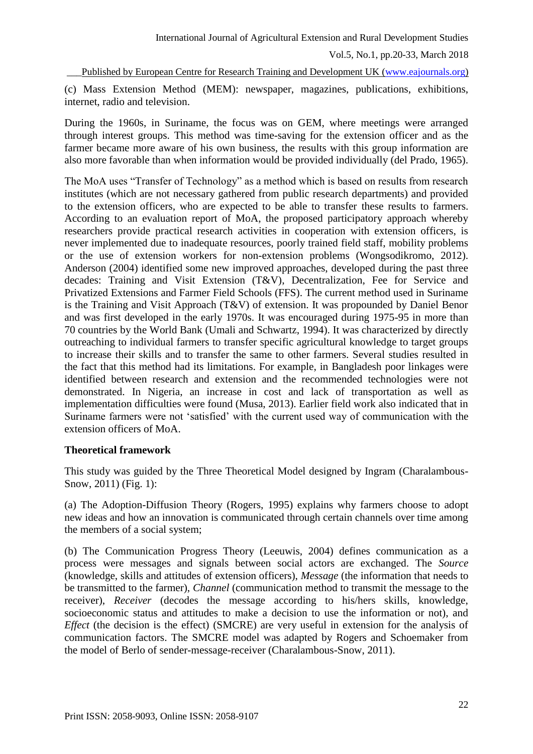Published by European Centre for Research Training and Development UK [\(www.eajournals.org\)](http://www.eajournals.org/)

(c) Mass Extension Method (MEM): newspaper, magazines, publications, exhibitions, internet, radio and television.

During the 1960s, in Suriname, the focus was on GEM, where meetings were arranged through interest groups. This method was time-saving for the extension officer and as the farmer became more aware of his own business, the results with this group information are also more favorable than when information would be provided individually (del Prado, 1965).

The MoA uses "Transfer of Technology" as a method which is based on results from research institutes (which are not necessary gathered from public research departments) and provided to the extension officers, who are expected to be able to transfer these results to farmers. According to an evaluation report of MoA, the proposed participatory approach whereby researchers provide practical research activities in cooperation with extension officers, is never implemented due to inadequate resources, poorly trained field staff, mobility problems or the use of extension workers for non-extension problems (Wongsodikromo, 2012). Anderson (2004) identified some new improved approaches, developed during the past three decades: Training and Visit Extension (T&V), Decentralization, Fee for Service and Privatized Extensions and Farmer Field Schools (FFS). The current method used in Suriname is the Training and Visit Approach (T&V) of extension. It was propounded by Daniel Benor and was first developed in the early 1970s. It was encouraged during 1975-95 in more than 70 countries by the World Bank (Umali and Schwartz, 1994). It was characterized by directly outreaching to individual farmers to transfer specific agricultural knowledge to target groups to increase their skills and to transfer the same to other farmers. Several studies resulted in the fact that this method had its limitations. For example, in Bangladesh poor linkages were identified between research and extension and the recommended technologies were not demonstrated. In Nigeria, an increase in cost and lack of transportation as well as implementation difficulties were found (Musa, 2013). Earlier field work also indicated that in Suriname farmers were not 'satisfied' with the current used way of communication with the extension officers of MoA.

## **Theoretical framework**

This study was guided by the Three Theoretical Model designed by Ingram (Charalambous-Snow, 2011) (Fig. 1):

(a) The Adoption-Diffusion Theory (Rogers, 1995) explains why farmers choose to adopt new ideas and how an innovation is communicated through certain channels over time among the members of a social system;

(b) The Communication Progress Theory (Leeuwis, 2004) defines communication as a process were messages and signals between social actors are exchanged. The *Source* (knowledge, skills and attitudes of extension officers), *Message* (the information that needs to be transmitted to the farmer), *Channel* (communication method to transmit the message to the receiver), *Receiver* (decodes the message according to his/hers skills, knowledge, socioeconomic status and attitudes to make a decision to use the information or not), and *Effect* (the decision is the effect) (SMCRE) are very useful in extension for the analysis of communication factors. The SMCRE model was adapted by Rogers and Schoemaker from the model of Berlo of sender-message-receiver (Charalambous-Snow, 2011).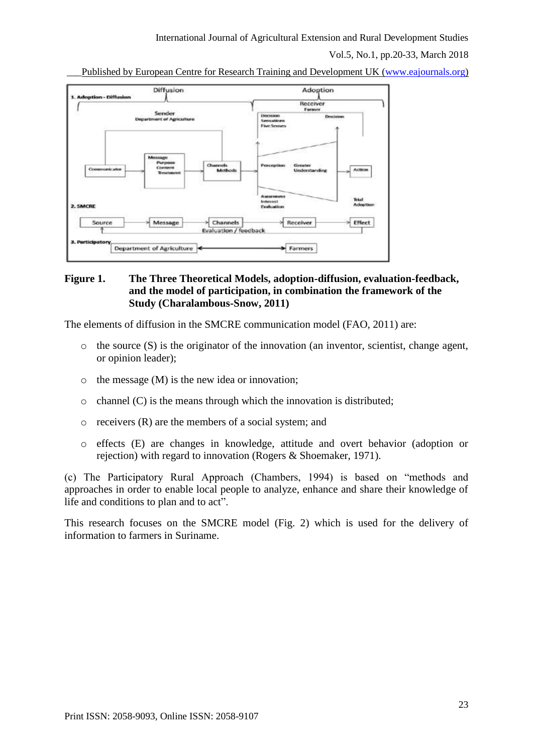International Journal of Agricultural Extension and Rural Development Studies

Vol.5, No.1, pp.20-33, March 2018

Published by European Centre for Research Training and Development UK [\(www.eajournals.org\)](http://www.eajournals.org/)



## **Figure 1. The Three Theoretical Models, adoption-diffusion, evaluation-feedback, and the model of participation, in combination the framework of the Study (Charalambous-Snow, 2011)**

The elements of diffusion in the SMCRE communication model (FAO, 2011) are:

- $\circ$  the source  $(S)$  is the originator of the innovation (an inventor, scientist, change agent, or opinion leader);
- o the message (M) is the new idea or innovation;
- $\circ$  channel (C) is the means through which the innovation is distributed;
- $\circ$  receivers  $(R)$  are the members of a social system; and
- o effects (E) are changes in knowledge, attitude and overt behavior (adoption or rejection) with regard to innovation (Rogers & Shoemaker, 1971).

(c) The Participatory Rural Approach (Chambers, 1994) is based on "methods and approaches in order to enable local people to analyze, enhance and share their knowledge of life and conditions to plan and to act".

This research focuses on the SMCRE model (Fig. 2) which is used for the delivery of information to farmers in Suriname.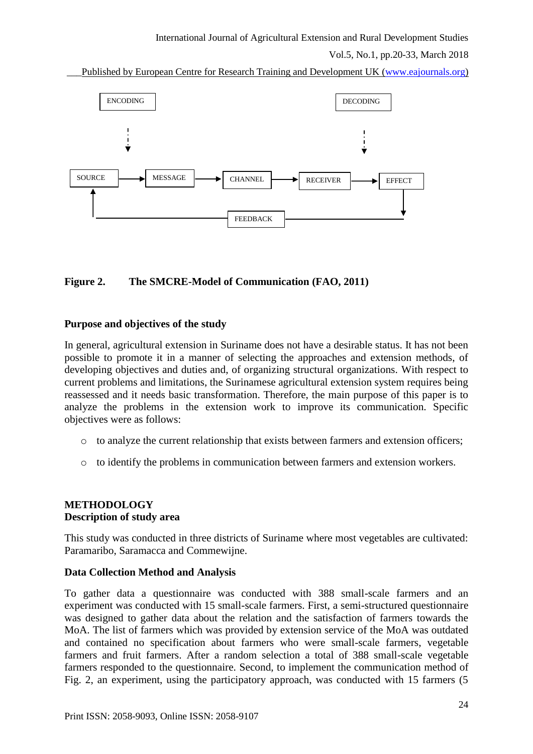Published by European Centre for Research Training and Development UK [\(www.eajournals.org\)](http://www.eajournals.org/)



## **Figure 2. The SMCRE-Model of Communication (FAO, 2011)**

#### **Purpose and objectives of the study**

In general, agricultural extension in Suriname does not have a desirable status. It has not been possible to promote it in a manner of selecting the approaches and extension methods, of developing objectives and duties and, of organizing structural organizations. With respect to current problems and limitations, the Surinamese agricultural extension system requires being reassessed and it needs basic transformation. Therefore, the main purpose of this paper is to analyze the problems in the extension work to improve its communication. Specific objectives were as follows:

- o to analyze the current relationship that exists between farmers and extension officers;
- o to identify the problems in communication between farmers and extension workers.

## **METHODOLOGY Description of study area**

This study was conducted in three districts of Suriname where most vegetables are cultivated: Paramaribo, Saramacca and Commewijne.

## **Data Collection Method and Analysis**

To gather data a questionnaire was conducted with 388 small-scale farmers and an experiment was conducted with 15 small-scale farmers. First, a semi-structured questionnaire was designed to gather data about the relation and the satisfaction of farmers towards the MoA. The list of farmers which was provided by extension service of the MoA was outdated and contained no specification about farmers who were small-scale farmers, vegetable farmers and fruit farmers. After a random selection a total of 388 small-scale vegetable farmers responded to the questionnaire. Second, to implement the communication method of Fig. 2, an experiment, using the participatory approach, was conducted with 15 farmers (5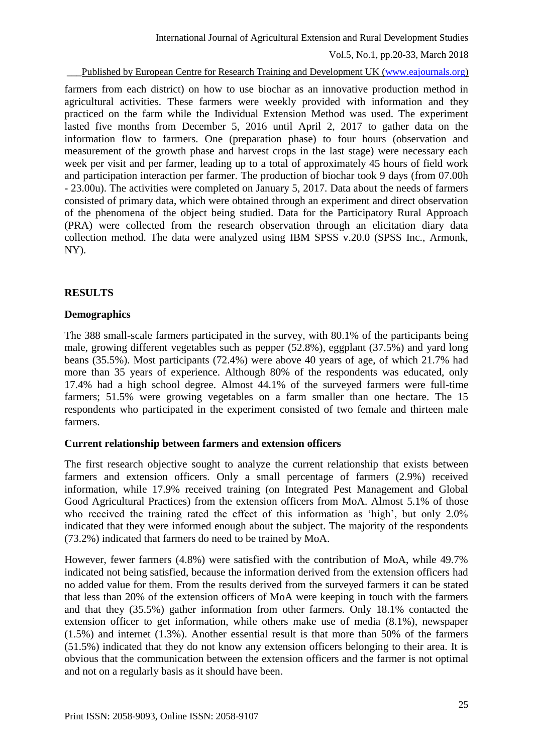Published by European Centre for Research Training and Development UK [\(www.eajournals.org\)](http://www.eajournals.org/)

farmers from each district) on how to use biochar as an innovative production method in agricultural activities. These farmers were weekly provided with information and they practiced on the farm while the Individual Extension Method was used. The experiment lasted five months from December 5, 2016 until April 2, 2017 to gather data on the information flow to farmers. One (preparation phase) to four hours (observation and measurement of the growth phase and harvest crops in the last stage) were necessary each week per visit and per farmer, leading up to a total of approximately 45 hours of field work and participation interaction per farmer. The production of biochar took 9 days (from 07.00h - 23.00u). The activities were completed on January 5, 2017. Data about the needs of farmers consisted of primary data, which were obtained through an experiment and direct observation of the phenomena of the object being studied. Data for the Participatory Rural Approach (PRA) were collected from the research observation through an elicitation diary data collection method. The data were analyzed using IBM SPSS v.20.0 (SPSS Inc., Armonk, NY).

# **RESULTS**

## **Demographics**

The 388 small-scale farmers participated in the survey, with 80.1% of the participants being male, growing different vegetables such as pepper (52.8%), eggplant (37.5%) and yard long beans (35.5%). Most participants (72.4%) were above 40 years of age, of which 21.7% had more than 35 years of experience. Although 80% of the respondents was educated, only 17.4% had a high school degree. Almost 44.1% of the surveyed farmers were full-time farmers; 51.5% were growing vegetables on a farm smaller than one hectare. The 15 respondents who participated in the experiment consisted of two female and thirteen male farmers.

## **Current relationship between farmers and extension officers**

The first research objective sought to analyze the current relationship that exists between farmers and extension officers. Only a small percentage of farmers (2.9%) received information, while 17.9% received training (on Integrated Pest Management and Global Good Agricultural Practices) from the extension officers from MoA. Almost 5.1% of those who received the training rated the effect of this information as 'high', but only 2.0% indicated that they were informed enough about the subject. The majority of the respondents (73.2%) indicated that farmers do need to be trained by MoA.

However, fewer farmers (4.8%) were satisfied with the contribution of MoA, while 49.7% indicated not being satisfied, because the information derived from the extension officers had no added value for them. From the results derived from the surveyed farmers it can be stated that less than 20% of the extension officers of MoA were keeping in touch with the farmers and that they (35.5%) gather information from other farmers. Only 18.1% contacted the extension officer to get information, while others make use of media (8.1%), newspaper (1.5%) and internet (1.3%). Another essential result is that more than 50% of the farmers (51.5%) indicated that they do not know any extension officers belonging to their area. It is obvious that the communication between the extension officers and the farmer is not optimal and not on a regularly basis as it should have been.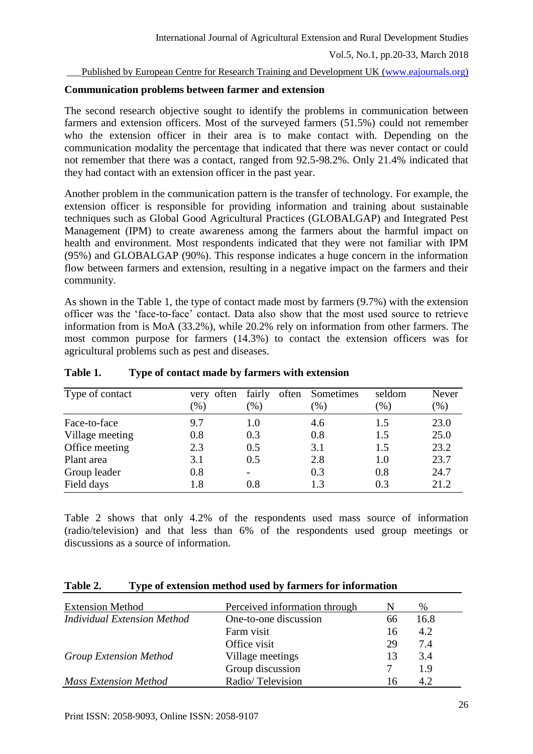#### Published by European Centre for Research Training and Development UK [\(www.eajournals.org\)](http://www.eajournals.org/)

#### **Communication problems between farmer and extension**

The second research objective sought to identify the problems in communication between farmers and extension officers. Most of the surveyed farmers (51.5%) could not remember who the extension officer in their area is to make contact with. Depending on the communication modality the percentage that indicated that there was never contact or could not remember that there was a contact, ranged from 92.5-98.2%. Only 21.4% indicated that they had contact with an extension officer in the past year.

Another problem in the communication pattern is the transfer of technology. For example, the extension officer is responsible for providing information and training about sustainable techniques such as Global Good Agricultural Practices (GLOBALGAP) and Integrated Pest Management (IPM) to create awareness among the farmers about the harmful impact on health and environment. Most respondents indicated that they were not familiar with IPM (95%) and GLOBALGAP (90%). This response indicates a huge concern in the information flow between farmers and extension, resulting in a negative impact on the farmers and their community.

As shown in the Table 1, the type of contact made most by farmers (9.7%) with the extension officer was the 'face-to-face' contact. Data also show that the most used source to retrieve information from is MoA (33.2%), while 20.2% rely on information from other farmers. The most common purpose for farmers (14.3%) to contact the extension officers was for agricultural problems such as pest and diseases.

| Type of contact | often<br>very | fairly<br>often | Sometimes | seldom | Never  |
|-----------------|---------------|-----------------|-----------|--------|--------|
|                 | $(\%)$        | $(\%)$          | $(\%)$    | $(\%)$ | $(\%)$ |
| Face-to-face    | 9.7           | 1.0             | 4.6       | 1.5    | 23.0   |
| Village meeting | 0.8           | 0.3             | 0.8       | 1.5    | 25.0   |
| Office meeting  | 2.3           | 0.5             | 3.1       | 1.5    | 23.2   |
| Plant area      | 3.1           | 0.5             | 2.8       | 1.0    | 23.7   |
| Group leader    | 0.8           | -               | 0.3       | 0.8    | 24.7   |
| Field days      | 1.8           | 0.8             | 1.3       | 0.3    | 21.2   |

#### **Table 1. Type of contact made by farmers with extension**

Table 2 shows that only 4.2% of the respondents used mass source of information (radio/television) and that less than 6% of the respondents used group meetings or discussions as a source of information.

| <b>Extension Method</b>            | Perceived information through |    | %    |
|------------------------------------|-------------------------------|----|------|
| <b>Individual Extension Method</b> | One-to-one discussion         | 66 | 16.8 |
|                                    | Farm visit                    | 16 | 4.2  |
|                                    | Office visit                  | 29 | 7.4  |
| <b>Group Extension Method</b>      | Village meetings              | 13 | 3.4  |
|                                    | Group discussion              |    | 1.9  |
| <b>Mass Extension Method</b>       | Radio/Television              | 16 | 42   |

#### **Table 2. Type of extension method used by farmers for information**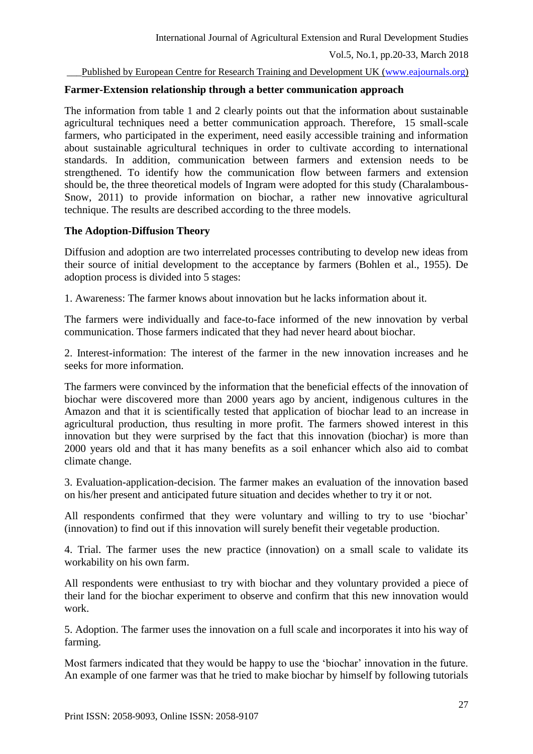Published by European Centre for Research Training and Development UK [\(www.eajournals.org\)](http://www.eajournals.org/)

### **Farmer-Extension relationship through a better communication approach**

The information from table 1 and 2 clearly points out that the information about sustainable agricultural techniques need a better communication approach. Therefore, 15 small-scale farmers, who participated in the experiment, need easily accessible training and information about sustainable agricultural techniques in order to cultivate according to international standards. In addition, communication between farmers and extension needs to be strengthened. To identify how the communication flow between farmers and extension should be, the three theoretical models of Ingram were adopted for this study (Charalambous-Snow, 2011) to provide information on biochar, a rather new innovative agricultural technique. The results are described according to the three models.

## **The Adoption-Diffusion Theory**

Diffusion and adoption are two interrelated processes contributing to develop new ideas from their source of initial development to the acceptance by farmers (Bohlen et al., 1955). De adoption process is divided into 5 stages:

1. Awareness: The farmer knows about innovation but he lacks information about it.

The farmers were individually and face-to-face informed of the new innovation by verbal communication. Those farmers indicated that they had never heard about biochar.

2. Interest-information: The interest of the farmer in the new innovation increases and he seeks for more information.

The farmers were convinced by the information that the beneficial effects of the innovation of biochar were discovered more than 2000 years ago by ancient, indigenous cultures in the Amazon and that it is scientifically tested that application of biochar lead to an increase in agricultural production, thus resulting in more profit. The farmers showed interest in this innovation but they were surprised by the fact that this innovation (biochar) is more than 2000 years old and that it has many benefits as a soil enhancer which also aid to combat climate change.

3. Evaluation-application-decision. The farmer makes an evaluation of the innovation based on his/her present and anticipated future situation and decides whether to try it or not.

All respondents confirmed that they were voluntary and willing to try to use 'biochar' (innovation) to find out if this innovation will surely benefit their vegetable production.

4. Trial. The farmer uses the new practice (innovation) on a small scale to validate its workability on his own farm.

All respondents were enthusiast to try with biochar and they voluntary provided a piece of their land for the biochar experiment to observe and confirm that this new innovation would work.

5. Adoption. The farmer uses the innovation on a full scale and incorporates it into his way of farming.

Most farmers indicated that they would be happy to use the 'biochar' innovation in the future. An example of one farmer was that he tried to make biochar by himself by following tutorials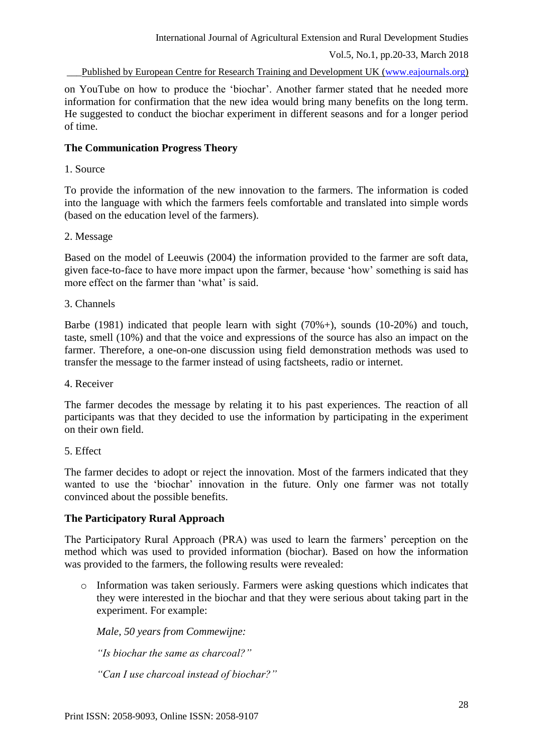International Journal of Agricultural Extension and Rural Development Studies

Vol.5, No.1, pp.20-33, March 2018

\_\_\_Published by European Centre for Research Training and Development UK [\(www.eajournals.org\)](http://www.eajournals.org/)

on YouTube on how to produce the 'biochar'. Another farmer stated that he needed more information for confirmation that the new idea would bring many benefits on the long term. He suggested to conduct the biochar experiment in different seasons and for a longer period of time.

## **The Communication Progress Theory**

1. Source

To provide the information of the new innovation to the farmers. The information is coded into the language with which the farmers feels comfortable and translated into simple words (based on the education level of the farmers).

## 2. Message

Based on the model of Leeuwis (2004) the information provided to the farmer are soft data, given face-to-face to have more impact upon the farmer, because 'how' something is said has more effect on the farmer than 'what' is said.

3. Channels

Barbe (1981) indicated that people learn with sight (70%+), sounds (10-20%) and touch, taste, smell (10%) and that the voice and expressions of the source has also an impact on the farmer. Therefore, a one-on-one discussion using field demonstration methods was used to transfer the message to the farmer instead of using factsheets, radio or internet.

4. Receiver

The farmer decodes the message by relating it to his past experiences. The reaction of all participants was that they decided to use the information by participating in the experiment on their own field.

#### 5. Effect

The farmer decides to adopt or reject the innovation. Most of the farmers indicated that they wanted to use the 'biochar' innovation in the future. Only one farmer was not totally convinced about the possible benefits.

## **The Participatory Rural Approach**

The Participatory Rural Approach (PRA) was used to learn the farmers' perception on the method which was used to provided information (biochar). Based on how the information was provided to the farmers, the following results were revealed:

 $\circ$  Information was taken seriously. Farmers were asking questions which indicates that they were interested in the biochar and that they were serious about taking part in the experiment. For example:

*Male, 50 years from Commewijne:* 

*"Is biochar the same as charcoal?"*

*"Can I use charcoal instead of biochar?"*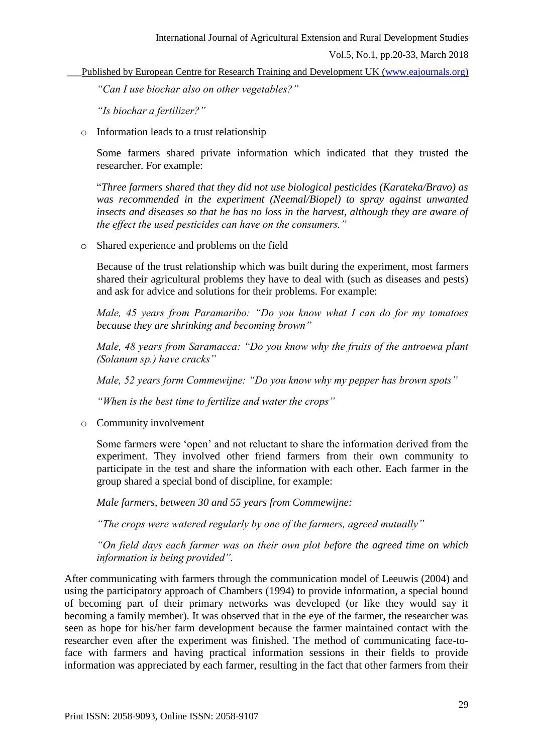Published by European Centre for Research Training and Development UK [\(www.eajournals.org\)](http://www.eajournals.org/)

*"Can I use biochar also on other vegetables?"*

*"Is biochar a fertilizer?"*

o Information leads to a trust relationship

Some farmers shared private information which indicated that they trusted the researcher. For example:

"*Three farmers shared that they did not use biological pesticides (Karateka/Bravo) as was recommended in the experiment (Neemal/Biopel) to spray against unwanted insects and diseases so that he has no loss in the harvest, although they are aware of the effect the used pesticides can have on the consumers."*

o Shared experience and problems on the field

Because of the trust relationship which was built during the experiment, most farmers shared their agricultural problems they have to deal with (such as diseases and pests) and ask for advice and solutions for their problems. For example:

*Male, 45 years from Paramaribo: "Do you know what I can do for my tomatoes because they are shrinking and becoming brown"*

*Male, 48 years from Saramacca: "Do you know why the fruits of the antroewa plant (Solanum sp.) have cracks"*

*Male, 52 years form Commewijne: "Do you know why my pepper has brown spots"*

*"When is the best time to fertilize and water the crops"*

o Community involvement

Some farmers were 'open' and not reluctant to share the information derived from the experiment. They involved other friend farmers from their own community to participate in the test and share the information with each other. Each farmer in the group shared a special bond of discipline, for example:

*Male farmers, between 30 and 55 years from Commewijne:*

*"The crops were watered regularly by one of the farmers, agreed mutually"*

*"On field days each farmer was on their own plot before the agreed time on which information is being provided".*

After communicating with farmers through the communication model of Leeuwis (2004) and using the participatory approach of Chambers (1994) to provide information, a special bound of becoming part of their primary networks was developed (or like they would say it becoming a family member). It was observed that in the eye of the farmer, the researcher was seen as hope for his/her farm development because the farmer maintained contact with the researcher even after the experiment was finished. The method of communicating face-toface with farmers and having practical information sessions in their fields to provide information was appreciated by each farmer, resulting in the fact that other farmers from their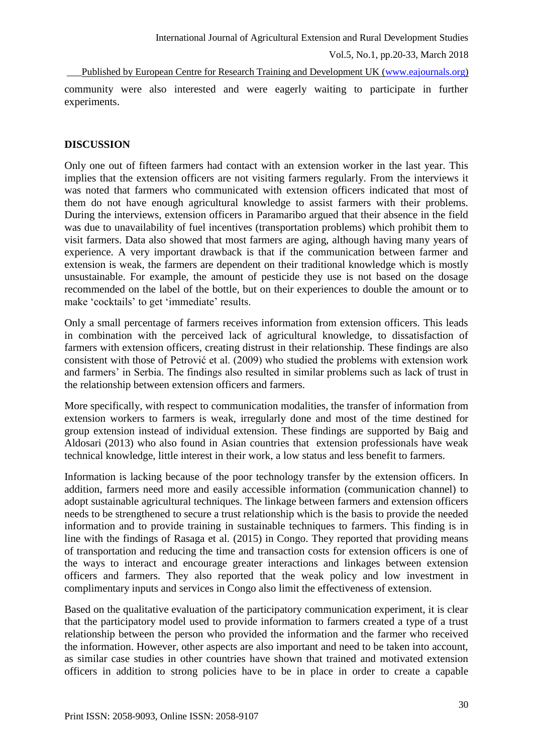Published by European Centre for Research Training and Development UK [\(www.eajournals.org\)](http://www.eajournals.org/) community were also interested and were eagerly waiting to participate in further experiments.

## **DISCUSSION**

Only one out of fifteen farmers had contact with an extension worker in the last year. This implies that the extension officers are not visiting farmers regularly. From the interviews it was noted that farmers who communicated with extension officers indicated that most of them do not have enough agricultural knowledge to assist farmers with their problems. During the interviews, extension officers in Paramaribo argued that their absence in the field was due to unavailability of fuel incentives (transportation problems) which prohibit them to visit farmers. Data also showed that most farmers are aging, although having many years of experience. A very important drawback is that if the communication between farmer and extension is weak, the farmers are dependent on their traditional knowledge which is mostly unsustainable. For example, the amount of pesticide they use is not based on the dosage recommended on the label of the bottle, but on their experiences to double the amount or to make 'cocktails' to get 'immediate' results.

Only a small percentage of farmers receives information from extension officers. This leads in combination with the perceived lack of agricultural knowledge, to dissatisfaction of farmers with extension officers, creating distrust in their relationship. These findings are also consistent with those of Petrović et al. (2009) who studied the problems with extension work and farmers' in Serbia. The findings also resulted in similar problems such as lack of trust in the relationship between extension officers and farmers.

More specifically, with respect to communication modalities, the transfer of information from extension workers to farmers is weak, irregularly done and most of the time destined for group extension instead of individual extension. These findings are supported by Baig and Aldosari (2013) who also found in Asian countries that extension professionals have weak technical knowledge, little interest in their work, a low status and less benefit to farmers.

Information is lacking because of the poor technology transfer by the extension officers. In addition, farmers need more and easily accessible information (communication channel) to adopt sustainable agricultural techniques. The linkage between farmers and extension officers needs to be strengthened to secure a trust relationship which is the basis to provide the needed information and to provide training in sustainable techniques to farmers. This finding is in line with the findings of Rasaga et al. (2015) in Congo. They reported that providing means of transportation and reducing the time and transaction costs for extension officers is one of the ways to interact and encourage greater interactions and linkages between extension officers and farmers. They also reported that the weak policy and low investment in complimentary inputs and services in Congo also limit the effectiveness of extension.

Based on the qualitative evaluation of the participatory communication experiment, it is clear that the participatory model used to provide information to farmers created a type of a trust relationship between the person who provided the information and the farmer who received the information. However, other aspects are also important and need to be taken into account, as similar case studies in other countries have shown that trained and motivated extension officers in addition to strong policies have to be in place in order to create a capable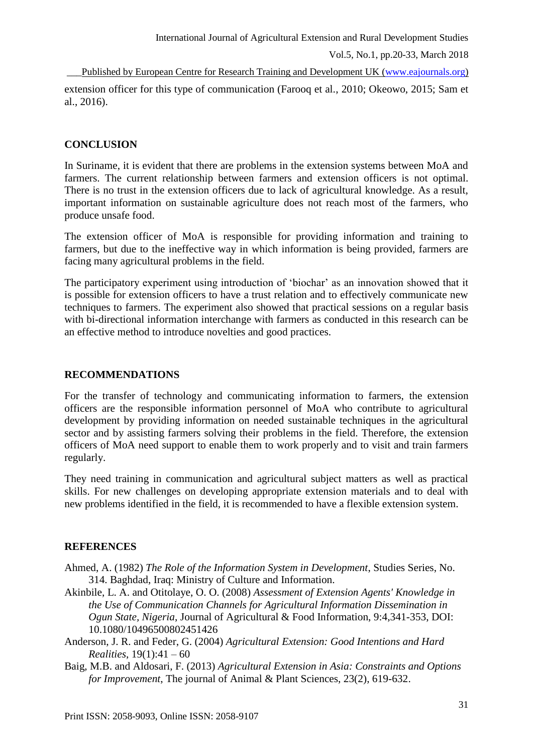Published by European Centre for Research Training and Development UK [\(www.eajournals.org\)](http://www.eajournals.org/) extension officer for this type of communication (Farooq et al*.*, 2010; Okeowo, 2015; Sam et al., 2016).

## **CONCLUSION**

In Suriname, it is evident that there are problems in the extension systems between MoA and farmers. The current relationship between farmers and extension officers is not optimal. There is no trust in the extension officers due to lack of agricultural knowledge. As a result, important information on sustainable agriculture does not reach most of the farmers, who produce unsafe food.

The extension officer of MoA is responsible for providing information and training to farmers, but due to the ineffective way in which information is being provided, farmers are facing many agricultural problems in the field.

The participatory experiment using introduction of 'biochar' as an innovation showed that it is possible for extension officers to have a trust relation and to effectively communicate new techniques to farmers. The experiment also showed that practical sessions on a regular basis with bi-directional information interchange with farmers as conducted in this research can be an effective method to introduce novelties and good practices.

## **RECOMMENDATIONS**

For the transfer of technology and communicating information to farmers, the extension officers are the responsible information personnel of MoA who contribute to agricultural development by providing information on needed sustainable techniques in the agricultural sector and by assisting farmers solving their problems in the field. Therefore, the extension officers of MoA need support to enable them to work properly and to visit and train farmers regularly.

They need training in communication and agricultural subject matters as well as practical skills. For new challenges on developing appropriate extension materials and to deal with new problems identified in the field, it is recommended to have a flexible extension system.

# **REFERENCES**

- Ahmed, A. (1982) *The Role of the Information System in Development*, Studies Series, No. 314. Baghdad, Iraq: Ministry of Culture and Information.
- Akinbile, L. A. and Otitolaye, O. O. (2008) *Assessment of Extension Agents' Knowledge in the Use of Communication Channels for Agricultural Information Dissemination in Ogun State, Nigeria*, Journal of Agricultural & Food Information, 9:4,341-353, DOI: 10.1080/10496500802451426
- Anderson, J. R. and Feder, G. (2004) *Agricultural Extension: Good Intentions and Hard Realities*, 19(1):41 – 60
- Baig, M.B. and Aldosari, F. (2013) *Agricultural Extension in Asia: Constraints and Options for Improvement*, The journal of Animal & Plant Sciences, 23(2), 619-632.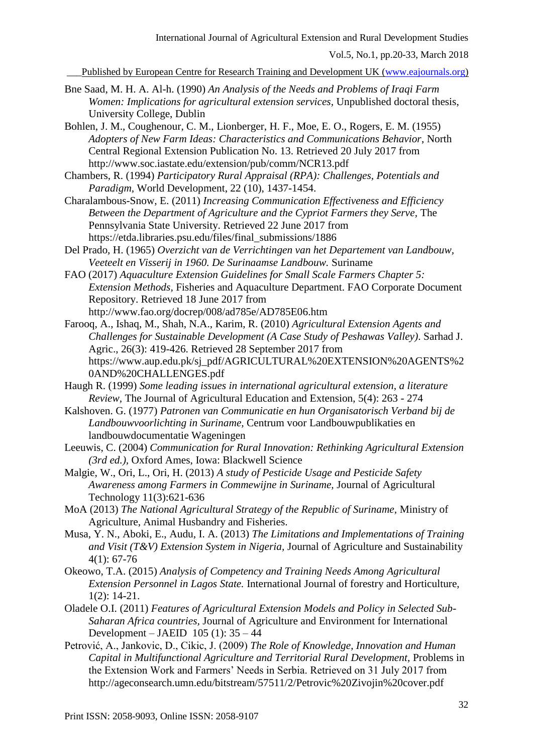\_\_\_Published by European Centre for Research Training and Development UK [\(www.eajournals.org\)](http://www.eajournals.org/)

- Bne Saad, M. H. A. Al-h. (1990) *An Analysis of the Needs and Problems of Iraqi Farm Women: Implications for agricultural extension services,* Unpublished doctoral thesis, University College, Dublin
- Bohlen, J. M., Coughenour, C. M., Lionberger, H. F., Moe, E. O., Rogers, E. M. (1955) *Adopters of New Farm Ideas: Characteristics and Communications Behavior*, North Central Regional Extension Publication No. 13. Retrieved 20 July 2017 from <http://www.soc.iastate.edu/extension/pub/comm/NCR13.pdf>
- Chambers, R. (1994) *Participatory Rural Appraisal (RPA): Challenges, Potentials and Paradigm,* World Development, 22 (10), 1437-1454.
- Charalambous-Snow, E. (2011) *Increasing Communication Effectiveness and Efficiency Between the Department of Agriculture and the Cypriot Farmers they Serve,* The Pennsylvania State University. Retrieved 22 June 2017 from https://etda.libraries.psu.edu/files/final\_submissions/1886
- Del Prado, H. (1965) *Overzicht van de Verrichtingen van het Departement van Landbouw, Veeteelt en Visserij in 1960. De Surinaamse Landbouw.* Suriname
- FAO (2017) *Aquaculture Extension Guidelines for Small Scale Farmers Chapter 5: Extension Methods,* Fisheries and Aquaculture Department. FAO Corporate Document Repository. Retrieved 18 June 2017 from http://www.fao.org/docrep/008/ad785e/AD785E06.htm
- Farooq, A., Ishaq, M., Shah, N.A., Karim, R. (2010) *Agricultural Extension Agents and Challenges for Sustainable Development (A Case Study of Peshawas Valley)*. Sarhad J. Agric., 26(3): 419-426. Retrieved 28 September 2017 from https://www.aup.edu.pk/sj\_pdf/AGRICULTURAL%20EXTENSION%20AGENTS%2 0AND%20CHALLENGES.pdf
- Haugh R. (1999) *Some leading issues in international agricultural extension, a literature Review,* The Journal of Agricultural Education and Extension, 5(4): 263 - 274
- Kalshoven. G. (1977) *Patronen van Communicatie en hun Organisatorisch Verband bij de Landbouwvoorlichting in Suriname,* Centrum voor Landbouwpublikaties en landbouwdocumentatie Wageningen
- Leeuwis, C. (2004) *Communication for Rural Innovation: Rethinking Agricultural Extension (3rd ed.),* Oxford Ames, Iowa: Blackwell Science
- Malgie, W., Ori, L., Ori, H. (2013) *A study of Pesticide Usage and Pesticide Safety Awareness among Farmers in Commewijne in Suriname,* Journal of Agricultural Technology 11(3):621-636
- MoA (2013) *The National Agricultural Strategy of the Republic of Suriname,* Ministry of Agriculture, Animal Husbandry and Fisheries.
- Musa, Y. N., Aboki, E., Audu, I. A. (2013) *The Limitations and Implementations of Training and Visit (T&V) Extension System in Nigeria,* Journal of Agriculture and Sustainability 4(1): 67-76
- Okeowo, T.A. (2015) *Analysis of Competency and Training Needs Among Agricultural Extension Personnel in Lagos State.* International Journal of forestry and Horticulture, 1(2): 14-21.
- Oladele O.I. (2011) *Features of Agricultural Extension Models and Policy in Selected Sub-Saharan Africa countries,* Journal of Agriculture and Environment for International Development – JAEID  $105$  (1):  $35 - 44$
- Petrović, A., Jankovic, D., Cikic, J. (2009) *The Role of Knowledge, Innovation and Human Capital in Multifunctional Agriculture and Territorial Rural Development,* Problems in the Extension Work and Farmers' Needs in Serbia. Retrieved on 31 July 2017 from <http://ageconsearch.umn.edu/bitstream/57511/2/Petrovic%20Zivojin%20cover.pdf>